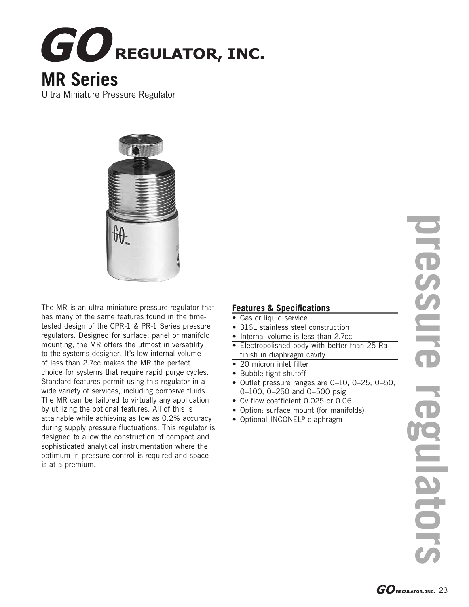## **GO** REGULATOR, INC.

## **MR Series**

Ultra Miniature Pressure Regulator



The MR is an ultra-miniature pressure regulator that has many of the same features found in the timetested design of the CPR-1 & PR-1 Series pressure regulators. Designed for surface, panel or manifold mounting, the MR offers the utmost in versatility to the systems designer. It's low internal volume of less than 2.7cc makes the MR the perfect choice for systems that require rapid purge cycles. Standard features permit using this regulator in a wide variety of services, including corrosive fluids. The MR can be tailored to virtually any application by utilizing the optional features. All of this is attainable while achieving as low as 0.2% accuracy during supply pressure fluctuations. This regulator is designed to allow the construction of compact and sophisticated analytical instrumentation where the optimum in pressure control is required and space is at a premium.

## **Features & Specifications**

- Gas or liquid service
- 316L stainless steel construction
- Internal volume is less than 2.7cc
- Electropolished body with better than 25 Ra finish in diaphragm cavity
- 20 micron inlet filter
- Bubble-tight shutoff
- Outlet pressure ranges are 0–10, 0–25, 0–50, 0–100, 0–250 and 0–500 psig
- Cv flow coefficient 0.025 or 0.06
- Option: surface mount (for manifolds)
- Optional INCONEL<sup>®</sup> diaphragm